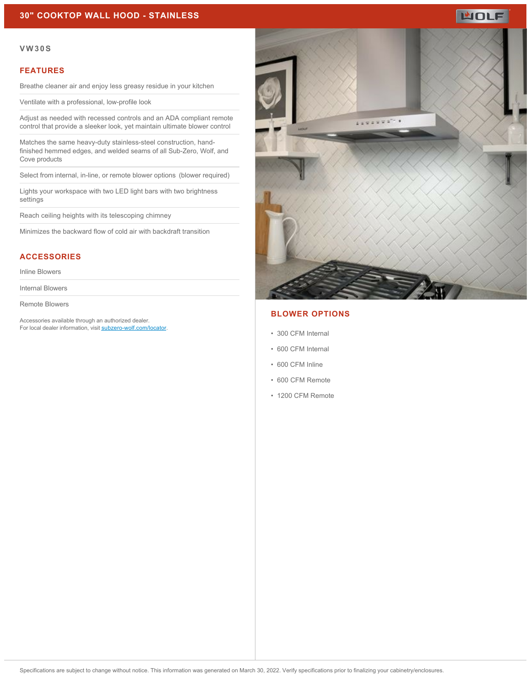

#### **VW30S**

#### **FEATURES**

Breathe cleaner air and enjoy less greasy residue in your kitchen

Ventilate with a professional, low-profile look

Adjust as needed with recessed controls and an ADA compliant remote control that provide a sleeker look, yet maintain ultimate blower control

Matches the same heavy-duty stainless-steel construction, handfinished hemmed edges, and welded seams of all Sub-Zero, Wolf, and Cove products

Select from internal, in-line, or remote blower options  (blower required)

Lights your workspace with two LED light bars with two brightness settings

Reach ceiling heights with its telescoping chimney

Minimizes the backward flow of cold air with backdraft transition

### **ACCESSORIES**

Inline Blowers

Internal Blowers

Remote Blowers

Accessories available through an authorized dealer. For local dealer information, visit [subzero-wolf.com/locator.](http://www.subzero-wolf.com/locator)



### **BLOWER OPTIONS**

- 300 CFM Internal
- 600 CFM Internal
- 600 CFM Inline
- 600 CFM Remote
- 1200 CFM Remote